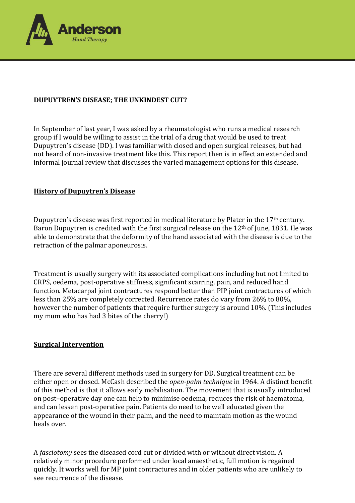

# **DUPUYTREN'S DISEASE; THE UNKINDEST CUT?**

In September of last year, I was asked by a rheumatologist who runs a medical research group if I would be willing to assist in the trial of a drug that would be used to treat Dupuytren's disease (DD). I was familiar with closed and open surgical releases, but had not heard of non-invasive treatment like this. This report then is in effect an extended and informal journal review that discusses the varied management options for this disease.

## **History of Dupuytren's Disease**

Dupuytren's disease was first reported in medical literature by Plater in the 17<sup>th</sup> century. Baron Dupuytren is credited with the first surgical release on the  $12<sup>th</sup>$  of June, 1831. He was able to demonstrate that the deformity of the hand associated with the disease is due to the retraction of the palmar aponeurosis.

Treatment is usually surgery with its associated complications including but not limited to CRPS, oedema, post-operative stiffness, significant scarring, pain, and reduced hand function. Metacarpal joint contractures respond better than PIP joint contractures of which less than 25% are completely corrected. Recurrence rates do vary from 26% to 80%, however the number of patients that require further surgery is around 10%. (This includes my mum who has had 3 bites of the cherry!)

## **Surgical Intervention**

There are several different methods used in surgery for DD. Surgical treatment can be either open or closed. McCash described the *open-palm technique* in 1964. A distinct benefit of this method is that it allows early mobilisation. The movement that is usually introduced on post–operative day one can help to minimise oedema, reduces the risk of haematoma, and can lessen post-operative pain. Patients do need to be well educated given the appearance of the wound in their palm, and the need to maintain motion as the wound heals over.

A *fasciotomy* sees the diseased cord cut or divided with or without direct vision. A relatively minor procedure performed under local anaesthetic, full motion is regained quickly. It works well for MP joint contractures and in older patients who are unlikely to see recurrence of the disease.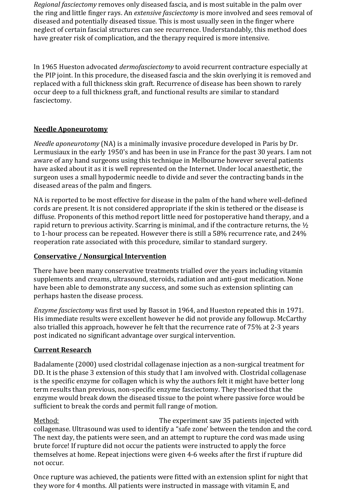*Regional fasciectomy* removes only diseased fascia, and is most suitable in the palm over the ring and little finger rays. An *extensive fasciectomy* is more involved and sees removal of diseased and potentially diseased tissue. This is most usually seen in the finger where neglect of certain fascial structures can see recurrence. Understandably, this method does have greater risk of complication, and the therapy required is more intensive.

In 1965 Hueston advocated *dermofasciectomy* to avoid recurrent contracture especially at the PIP joint. In this procedure, the diseased fascia and the skin overlying it is removed and replaced with a full thickness skin graft. Recurrence of disease has been shown to rarely occur deep to a full thickness graft, and functional results are similar to standard fasciectomy.

## **Needle Aponeurotomy**

*Needle aponeurotomy* (NA) is a minimally invasive procedure developed in Paris by Dr. Lermusiaux in the early 1950's and has been in use in France for the past 30 years. I am not aware of any hand surgeons using this technique in Melbourne however several patients have asked about it as it is well represented on the Internet. Under local anaesthetic, the surgeon uses a small hypodermic needle to divide and sever the contracting bands in the diseased areas of the palm and fingers.

NA is reported to be most effective for disease in the palm of the hand where well-defined cords are present. It is not considered appropriate if the skin is tethered or the disease is diffuse. Proponents of this method report little need for postoperative hand therapy, and a rapid return to previous activity. Scarring is minimal, and if the contracture returns, the  $\frac{1}{2}$ to 1-hour process can be repeated. However there is still a 58% recurrence rate, and 24% reoperation rate associated with this procedure, similar to standard surgery.

### **Conservative / Nonsurgical Intervention**

There have been many conservative treatments trialled over the years including vitamin supplements and creams, ultrasound, steroids, radiation and anti-gout medication. None have been able to demonstrate any success, and some such as extension splinting can perhaps hasten the disease process.

*Enzyme fasciectomy* was first used by Bassot in 1964, and Hueston repeated this in 1971. His immediate results were excellent however he did not provide any followup. McCarthy also trialled this approach, however he felt that the recurrence rate of 75% at 2-3 years post indicated no significant advantage over surgical intervention.

## **Current Research**

Badalamente (2000) used clostridal collagenase injection as a non-surgical treatment for DD. It is the phase 3 extension of this study that I am involved with. Clostridal collagenase is the specific enzyme for collagen which is why the authors felt it might have better long term results than previous, non-specific enzyme fasciectomy. They theorised that the enzyme would break down the diseased tissue to the point where passive force would be sufficient to break the cords and permit full range of motion.

Method: The experiment saw 35 patients injected with collagenase. Ultrasound was used to identify a "safe zone' between the tendon and the cord. The next day, the patients were seen, and an attempt to rupture the cord was made using brute force! If rupture did not occur the patients were instructed to apply the force themselves at home. Repeat injections were given 4-6 weeks after the first if rupture did not occur.

Once rupture was achieved, the patients were fitted with an extension splint for night that they wore for 4 months. All patients were instructed in massage with vitamin E, and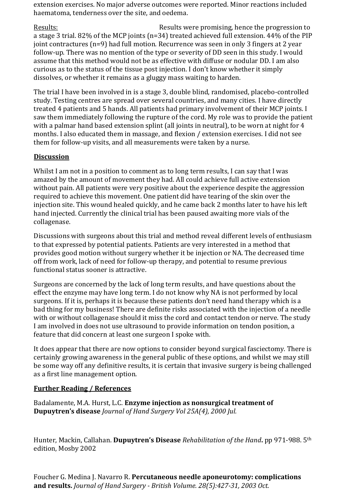extension exercises. No major adverse outcomes were reported. Minor reactions included haematoma, tenderness over the site, and oedema.

Results: Results were promising, hence the progression to a stage 3 trial. 82% of the MCP joints (n=34) treated achieved full extension. 44% of the PIP joint contractures (n=9) had full motion. Recurrence was seen in only 3 fingers at 2 year follow-up. There was no mention of the type or severity of DD seen in this study. I would assume that this method would not be as effective with diffuse or nodular DD. I am also curious as to the status of the tissue post injection. I don't know whether it simply dissolves, or whether it remains as a gluggy mass waiting to harden.

The trial I have been involved in is a stage 3, double blind, randomised, placebo-controlled study. Testing centres are spread over several countries, and many cities. I have directly treated 4 patients and 5 hands. All patients had primary involvement of their MCP joints. I saw them immediately following the rupture of the cord. My role was to provide the patient with a palmar hand based extension splint (all joints in neutral), to be worn at night for 4 months. I also educated them in massage, and flexion / extension exercises. I did not see them for follow-up visits, and all measurements were taken by a nurse.

## **Discussion**

Whilst I am not in a position to comment as to long term results, I can say that I was amazed by the amount of movement they had. All could achieve full active extension without pain. All patients were very positive about the experience despite the aggression required to achieve this movement. One patient did have tearing of the skin over the injection site. This wound healed quickly, and he came back 2 months later to have his left hand injected. Currently the clinical trial has been paused awaiting more vials of the collagenase.

Discussions with surgeons about this trial and method reveal different levels of enthusiasm to that expressed by potential patients. Patients are very interested in a method that provides good motion without surgery whether it be injection or NA. The decreased time off from work, lack of need for follow-up therapy, and potential to resume previous functional status sooner is attractive.

Surgeons are concerned by the lack of long term results, and have questions about the effect the enzyme may have long term. I do not know why NA is not performed by local surgeons. If it is, perhaps it is because these patients don't need hand therapy which is a bad thing for my business! There are definite risks associated with the injection of a needle with or without collagenase should it miss the cord and contact tendon or nerve. The study I am involved in does not use ultrasound to provide information on tendon position, a feature that did concern at least one surgeon I spoke with.

It does appear that there are now options to consider beyond surgical fasciectomy. There is certainly growing awareness in the general public of these options, and whilst we may still be some way off any definitive results, it is certain that invasive surgery is being challenged as a first line management option.

## **Further Reading / References**

Badalamente, M.A. Hurst, L.C. **Enzyme injection as nonsurgical treatment of Dupuytren's disease** *Journal of Hand Surgery Vol 25A(4), 2000 Jul.*

Hunter, Mackin, Callahan. **Dupuytren's Disease** *Rehabilitation of the Hand***.** pp 971-988. 5th edition, Mosby 2002